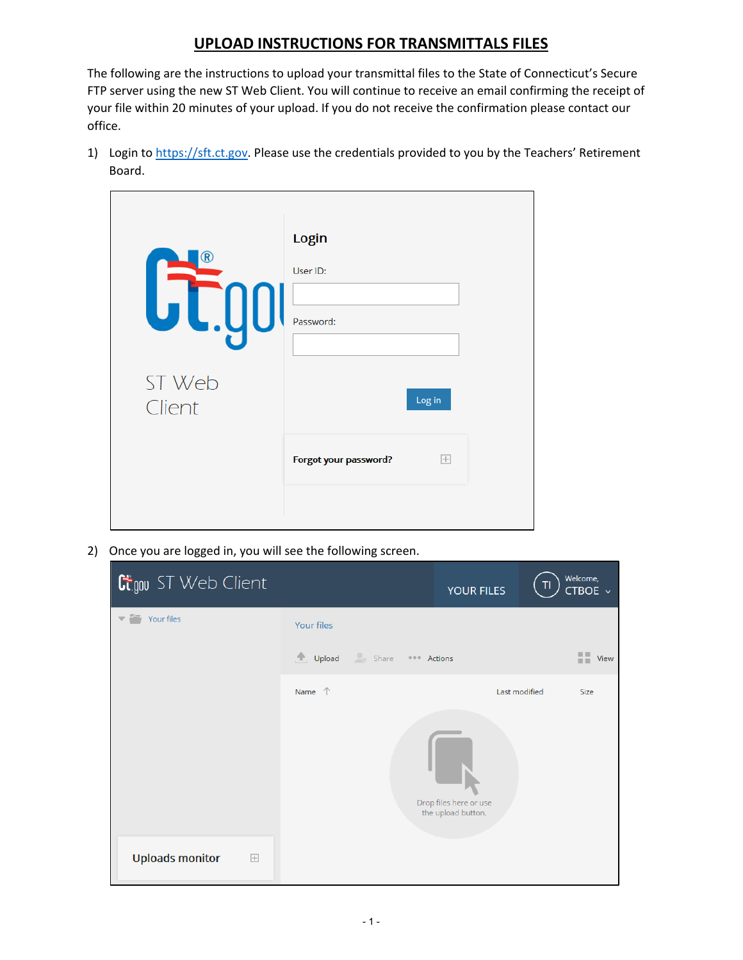## **UPLOAD INSTRUCTIONS FOR TRANSMITTALS FILES**

The following are the instructions to upload your transmittal files to the State of Connecticut's Secure FTP server using the new ST Web Client. You will continue to receive an email confirming the receipt of your file within 20 minutes of your upload. If you do not receive the confirmation please contact our office.

1) Login to [https://sft.ct.gov.](https://sft.ct.gov/) Please use the credentials provided to you by the Teachers' Retirement Board.

| $\widehat{\mathbf{R}}$<br>ST Web | Login<br>User ID:<br>Password:<br>Log in |  |
|----------------------------------|------------------------------------------|--|
| Client                           | Forgot your password?<br>$\overline{+}$  |  |

2) Once you are logged in, you will see the following screen.

| <b>C</b> tgou ST Web Client              |                                                                                     | <b>YOUR FILES</b> | Welcome,<br>TI<br>CTBOE ~ |
|------------------------------------------|-------------------------------------------------------------------------------------|-------------------|---------------------------|
| Your files<br>$\overline{\phantom{a}}$   | Your files                                                                          |                   |                           |
|                                          | $\sim$ Share<br>$\begin{tabular}{ll} \hline \end{tabular}$ Upload<br><b>Actions</b> |                   | 喆<br><b>View</b>          |
|                                          | Name $\uparrow$                                                                     |                   | Last modified<br>Size     |
|                                          | Drop files here or use<br>the upload button.                                        |                   |                           |
| <b>Uploads monitor</b><br>$\overline{+}$ |                                                                                     |                   |                           |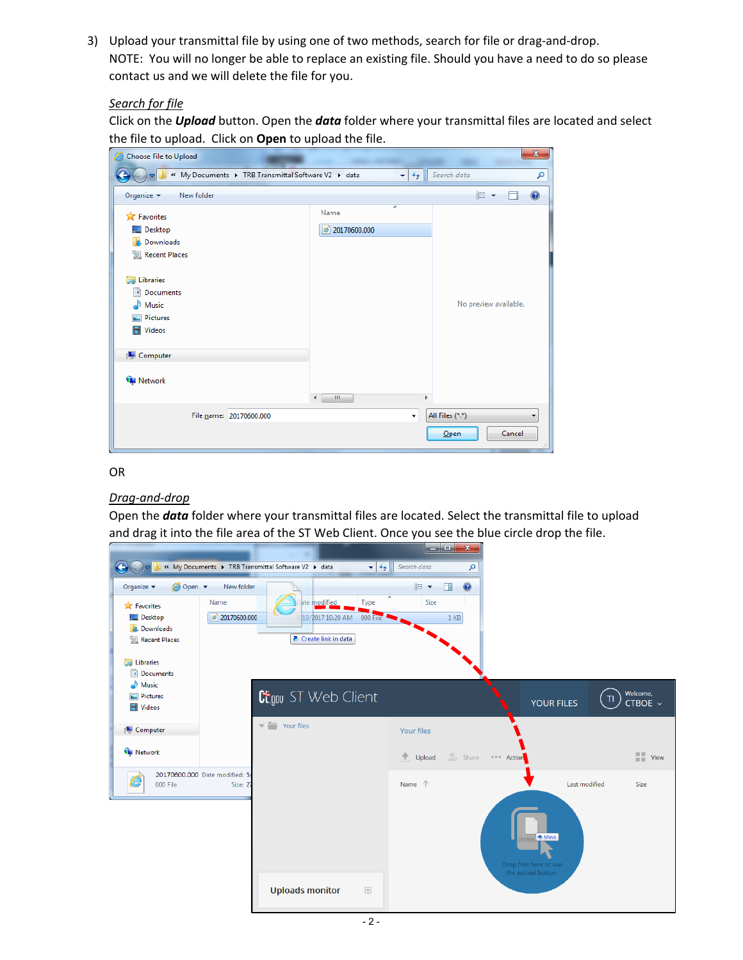3) Upload your transmittal file by using one of two methods, search for file or drag-and-drop. NOTE: You will no longer be able to replace an existing file. Should you have a need to do so please contact us and we will delete the file for you.

## *Search for file*

Click on the *Upload* button. Open the *data* folder where your transmittal files are located and select the file to upload. Click on **Open** to upload the file.

| Choose File to Upload<br>e                          |                         | $\mathbf{x}$          |
|-----------------------------------------------------|-------------------------|-----------------------|
| « My Documents > TRB Transmittal Software V2 > data | $+$<br>$\mathbf{v}$     | Search data<br>م      |
| Organize $\blacktriangledown$<br>New folder         |                         | $\odot$<br>睚          |
| <b>X</b> Favorites                                  | ≖<br>Name               |                       |
| Desktop                                             | $\bigcirc$ 20170600.000 |                       |
| Downloads                                           |                         |                       |
| Recent Places                                       |                         |                       |
| Libraries<br>ь                                      |                         |                       |
| Documents<br>÷,                                     |                         |                       |
| Music                                               |                         | No preview available. |
| Pictures                                            |                         |                       |
| Videos<br>Ħ                                         |                         |                       |
| Computer                                            |                         |                       |
| <b>C</b> Network                                    |                         |                       |
|                                                     | W.<br>$\overline{4}$    | Þ                     |
| File name: 20170600.000                             | ٠                       | All Files (*.*)<br>▼  |
|                                                     |                         | Cancel<br>$O$ pen     |

## OR

## *Drag-and-drop*

Open the *data* folder where your transmittal files are located. Select the transmittal file to upload and drag it into the file area of the ST Web Client. Once you see the blue circle drop the file.

|                                      |                                           |                                                                       | ا د د<br>$\mathbf{x}$          |                                              |                                                                              |
|--------------------------------------|-------------------------------------------|-----------------------------------------------------------------------|--------------------------------|----------------------------------------------|------------------------------------------------------------------------------|
| $\leftarrow$                         |                                           | « My Documents > TRB Transmittal Software V2 > data<br>$\mathbf{v}$ + | Search data<br>م               |                                              |                                                                              |
| <b><i>e</i></b> Open ▼<br>Organize v | New folder                                |                                                                       | $\odot$<br>888 ▼<br>$\Box$     |                                              |                                                                              |
| <b>X</b> Favorites                   | Name                                      | ate modified<br>Type                                                  | Size                           |                                              |                                                                              |
| Desktop                              | $\bullet$ 20170600.000                    | 18/2017 10:20 AM<br>000 File                                          | 1 <sub>KB</sub>                |                                              |                                                                              |
| <b>Downloads</b><br>Recent Places    |                                           | <b>7</b> Create link in data                                          |                                |                                              |                                                                              |
|                                      |                                           |                                                                       |                                |                                              |                                                                              |
| Libraries                            |                                           |                                                                       |                                |                                              |                                                                              |
| Documents                            |                                           |                                                                       |                                |                                              |                                                                              |
| Music<br>Pictures                    |                                           |                                                                       |                                |                                              | Welcome,                                                                     |
| Videos                               |                                           | <b>Gigou</b> ST Web Client                                            |                                | YOUR FILES                                   | TI.<br>CTBOE ~                                                               |
|                                      |                                           | $\overline{\phantom{a}}$ Your files                                   |                                |                                              |                                                                              |
| <b>I</b> Computer                    |                                           |                                                                       | <b>Your files</b>              |                                              |                                                                              |
| <b>C</b> Network                     |                                           |                                                                       | $\sim_{\circ}$ Share<br>Upload | <b>BREA</b> Action                           | $\frac{\blacksquare\blacksquare\blacksquare}{\blacksquare\blacksquare}$ View |
|                                      |                                           |                                                                       |                                |                                              |                                                                              |
| é<br>000 File                        | 20170600.000 Date modified: 5/<br>Size: 2 |                                                                       | Name <sup>1</sup>              | Last modified                                | Size                                                                         |
|                                      |                                           |                                                                       |                                |                                              |                                                                              |
|                                      |                                           |                                                                       |                                |                                              |                                                                              |
|                                      |                                           |                                                                       |                                |                                              |                                                                              |
|                                      |                                           |                                                                       |                                | 20170au > Move                               |                                                                              |
|                                      |                                           |                                                                       |                                |                                              |                                                                              |
|                                      |                                           |                                                                       |                                | Drop files here or use<br>the upload button. |                                                                              |
|                                      |                                           | <b>Uploads monitor</b><br>$\overline{+}$                              |                                |                                              |                                                                              |
|                                      |                                           |                                                                       |                                |                                              |                                                                              |
|                                      |                                           |                                                                       |                                |                                              |                                                                              |